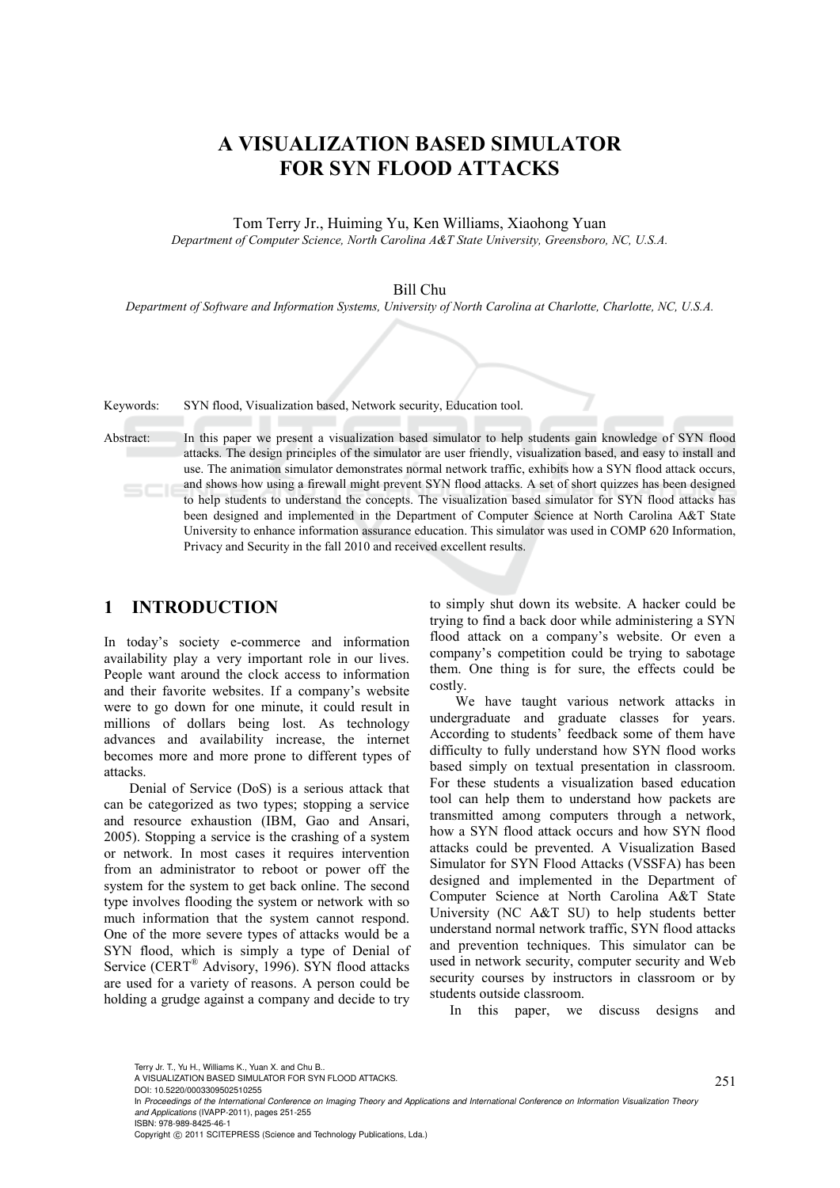# **A VISUALIZATION BASED SIMULATOR FOR SYN FLOOD ATTACKS**

Tom Terry Jr., Huiming Yu, Ken Williams, Xiaohong Yuan *Department of Computer Science, North Carolina A&T State University, Greensboro, NC, U.S.A.* 

#### Bill Chu

*Department of Software and Information Systems, University of North Carolina at Charlotte, Charlotte, NC, U.S.A.* 

Keywords: SYN flood, Visualization based, Network security, Education tool.

Abstract: In this paper we present a visualization based simulator to help students gain knowledge of SYN flood attacks. The design principles of the simulator are user friendly, visualization based, and easy to install and use. The animation simulator demonstrates normal network traffic, exhibits how a SYN flood attack occurs, and shows how using a firewall might prevent SYN flood attacks. A set of short quizzes has been designed to help students to understand the concepts. The visualization based simulator for SYN flood attacks has been designed and implemented in the Department of Computer Science at North Carolina A&T State University to enhance information assurance education. This simulator was used in COMP 620 Information, Privacy and Security in the fall 2010 and received excellent results.

### **1 INTRODUCTION**

In today's society e-commerce and information availability play a very important role in our lives. People want around the clock access to information and their favorite websites. If a company's website were to go down for one minute, it could result in millions of dollars being lost. As technology advances and availability increase, the internet becomes more and more prone to different types of attacks.

Denial of Service (DoS) is a serious attack that can be categorized as two types; stopping a service and resource exhaustion (IBM, Gao and Ansari, 2005). Stopping a service is the crashing of a system or network. In most cases it requires intervention from an administrator to reboot or power off the system for the system to get back online. The second type involves flooding the system or network with so much information that the system cannot respond. One of the more severe types of attacks would be a SYN flood, which is simply a type of Denial of Service (CERT® Advisory, 1996). SYN flood attacks are used for a variety of reasons. A person could be holding a grudge against a company and decide to try

to simply shut down its website. A hacker could be trying to find a back door while administering a SYN flood attack on a company's website. Or even a company's competition could be trying to sabotage them. One thing is for sure, the effects could be costly.

We have taught various network attacks in undergraduate and graduate classes for years. According to students' feedback some of them have difficulty to fully understand how SYN flood works based simply on textual presentation in classroom. For these students a visualization based education tool can help them to understand how packets are transmitted among computers through a network, how a SYN flood attack occurs and how SYN flood attacks could be prevented. A Visualization Based Simulator for SYN Flood Attacks (VSSFA) has been designed and implemented in the Department of Computer Science at North Carolina A&T State University (NC A&T SU) to help students better understand normal network traffic, SYN flood attacks and prevention techniques. This simulator can be used in network security, computer security and Web security courses by instructors in classroom or by students outside classroom.

In this paper, we discuss designs and

Terry Jr. T., Yu H., Williams K., Yuan X. and Chu B..

Copyright © 2011 SCITEPRESS (Science and Technology Publications, Lda.)

A VISUALIZATION BASED SIMULATOR FOR SYN FLOOD ATTACKS.

DOI: 10.5220/0003309502510255

In *Proceedings of the International Conference on Imaging Theory and Applications and International Conference on Information Visualization Theory and Applications* (IVAPP-2011), pages 251-255 ISBN: 978-989-8425-46-1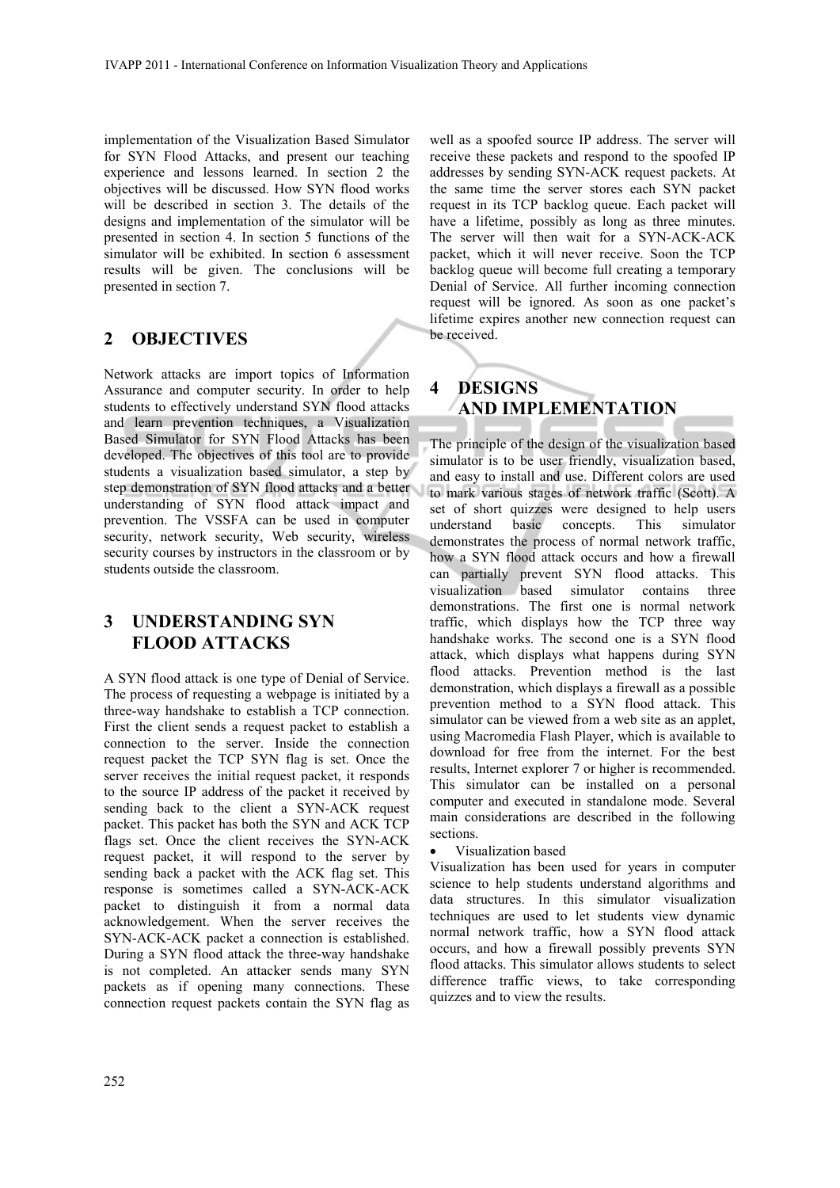implementation of the Visualization Based Simulator for SYN Flood Attacks, and present our teaching experience and lessons learned. In section 2 the objectives will be discussed. How SYN flood works will be described in section 3. The details of the designs and implementation of the simulator will be presented in section 4. In section 5 functions of the simulator will be exhibited. In section 6 assessment results will be given. The conclusions will be presented in section 7.

## **2 OBJECTIVES**

Network attacks are import topics of Information Assurance and computer security. In order to help students to effectively understand SYN flood attacks and learn prevention techniques, a Visualization Based Simulator for SYN Flood Attacks has been developed. The objectives of this tool are to provide students a visualization based simulator, a step by step demonstration of SYN flood attacks and a better understanding of SYN flood attack impact and prevention. The VSSFA can be used in computer security, network security, Web security, wireless security courses by instructors in the classroom or by students outside the classroom.

## **3 UNDERSTANDING SYN FLOOD ATTACKS**

A SYN flood attack is one type of Denial of Service. The process of requesting a webpage is initiated by a three-way handshake to establish a TCP connection. First the client sends a request packet to establish a connection to the server. Inside the connection request packet the TCP SYN flag is set. Once the server receives the initial request packet, it responds to the source IP address of the packet it received by sending back to the client a SYN-ACK request packet. This packet has both the SYN and ACK TCP flags set. Once the client receives the SYN-ACK request packet, it will respond to the server by sending back a packet with the ACK flag set. This response is sometimes called a SYN-ACK-ACK packet to distinguish it from a normal data acknowledgement. When the server receives the SYN-ACK-ACK packet a connection is established. During a SYN flood attack the three-way handshake is not completed. An attacker sends many SYN packets as if opening many connections. These connection request packets contain the SYN flag as

well as a spoofed source IP address. The server will receive these packets and respond to the spoofed IP addresses by sending SYN-ACK request packets. At the same time the server stores each SYN packet request in its TCP backlog queue. Each packet will have a lifetime, possibly as long as three minutes. The server will then wait for a SYN-ACK-ACK packet, which it will never receive. Soon the TCP backlog queue will become full creating a temporary Denial of Service. All further incoming connection request will be ignored. As soon as one packet's lifetime expires another new connection request can be received.

# **4 DESIGNS AND IMPLEMENTATION**

The principle of the design of the visualization based simulator is to be user friendly, visualization based, and easy to install and use. Different colors are used to mark various stages of network traffic (Scott). A set of short quizzes were designed to help users understand basic concepts. This simulator demonstrates the process of normal network traffic, how a SYN flood attack occurs and how a firewall can partially prevent SYN flood attacks. This visualization based simulator contains three demonstrations. The first one is normal network traffic, which displays how the TCP three way handshake works. The second one is a SYN flood attack, which displays what happens during SYN flood attacks. Prevention method is the last demonstration, which displays a firewall as a possible prevention method to a SYN flood attack. This simulator can be viewed from a web site as an applet, using Macromedia Flash Player, which is available to download for free from the internet. For the best results, Internet explorer 7 or higher is recommended. This simulator can be installed on a personal computer and executed in standalone mode. Several main considerations are described in the following sections.

• Visualization based

Visualization has been used for years in computer science to help students understand algorithms and data structures. In this simulator visualization techniques are used to let students view dynamic normal network traffic, how a SYN flood attack occurs, and how a firewall possibly prevents SYN flood attacks. This simulator allows students to select difference traffic views, to take corresponding quizzes and to view the results.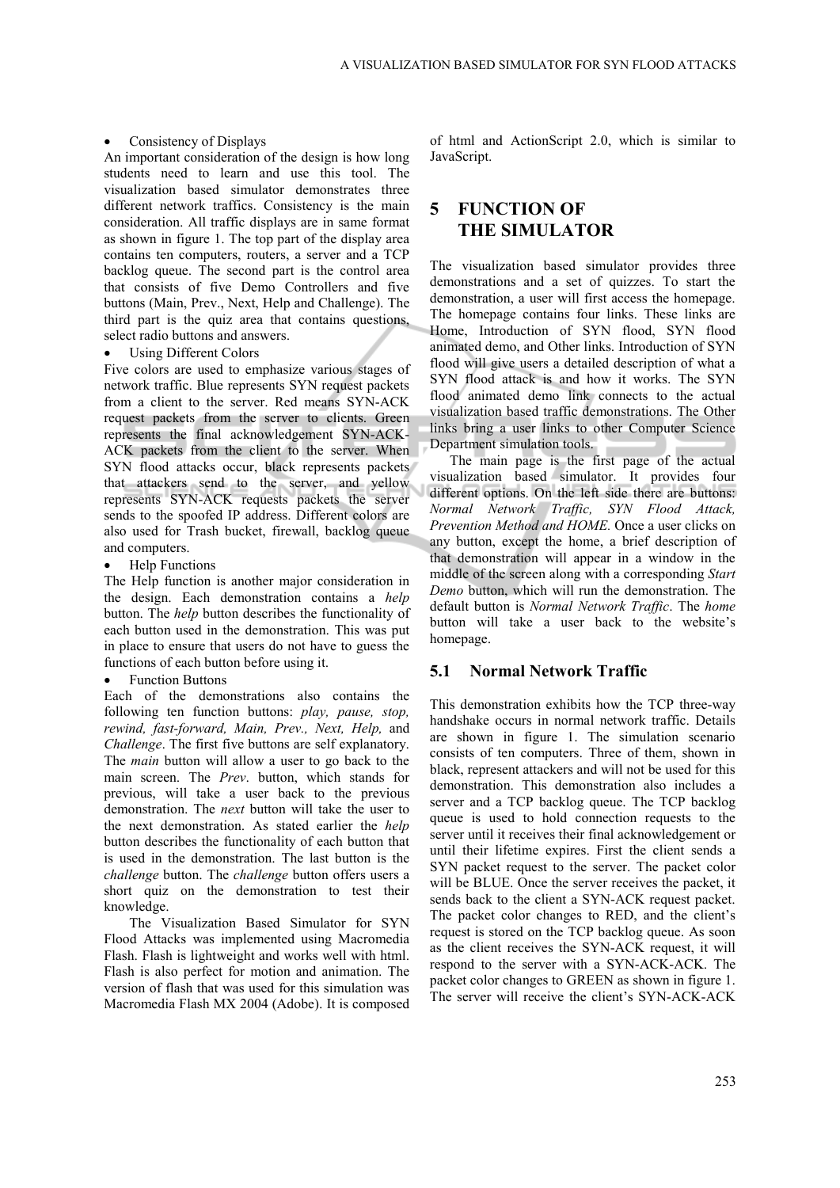#### • Consistency of Displays

An important consideration of the design is how long students need to learn and use this tool. The visualization based simulator demonstrates three different network traffics. Consistency is the main consideration. All traffic displays are in same format as shown in figure 1. The top part of the display area contains ten computers, routers, a server and a TCP backlog queue. The second part is the control area that consists of five Demo Controllers and five buttons (Main, Prev., Next, Help and Challenge). The third part is the quiz area that contains questions, select radio buttons and answers.

#### Using Different Colors

Five colors are used to emphasize various stages of network traffic. Blue represents SYN request packets from a client to the server. Red means SYN-ACK request packets from the server to clients. Green represents the final acknowledgement SYN-ACK-ACK packets from the client to the server. When SYN flood attacks occur, black represents packets that attackers send to the server, and yellow represents SYN-ACK requests packets the server sends to the spoofed IP address. Different colors are also used for Trash bucket, firewall, backlog queue and computers.

• Help Functions

The Help function is another major consideration in the design. Each demonstration contains a *help* button. The *help* button describes the functionality of each button used in the demonstration. This was put in place to ensure that users do not have to guess the functions of each button before using it.

**Function Buttons** 

Each of the demonstrations also contains the following ten function buttons: *play, pause, stop, rewind, fast-forward, Main, Prev., Next, Help,* and *Challenge*. The first five buttons are self explanatory. The *main* button will allow a user to go back to the main screen. The *Prev*. button, which stands for previous, will take a user back to the previous demonstration. The *next* button will take the user to the next demonstration. As stated earlier the *help* button describes the functionality of each button that is used in the demonstration. The last button is the *challenge* button. The *challenge* button offers users a short quiz on the demonstration to test their knowledge.

The Visualization Based Simulator for SYN Flood Attacks was implemented using Macromedia Flash. Flash is lightweight and works well with html. Flash is also perfect for motion and animation. The version of flash that was used for this simulation was Macromedia Flash MX 2004 (Adobe). It is composed of html and ActionScript 2.0, which is similar to JavaScript.

## **5 FUNCTION OF THE SIMULATOR**

The visualization based simulator provides three demonstrations and a set of quizzes. To start the demonstration, a user will first access the homepage. The homepage contains four links. These links are Home, Introduction of SYN flood, SYN flood animated demo, and Other links. Introduction of SYN flood will give users a detailed description of what a SYN flood attack is and how it works. The SYN flood animated demo link connects to the actual visualization based traffic demonstrations. The Other links bring a user links to other Computer Science Department simulation tools.

The main page is the first page of the actual visualization based simulator. It provides four different options. On the left side there are buttons: *Normal Network Traffic, SYN Flood Attack, Prevention Method and HOME.* Once a user clicks on any button, except the home, a brief description of that demonstration will appear in a window in the middle of the screen along with a corresponding *Start Demo* button, which will run the demonstration. The default button is *Normal Network Traffic*. The *home* button will take a user back to the website's homepage.

### **5.1 Normal Network Traffic**

This demonstration exhibits how the TCP three-way handshake occurs in normal network traffic. Details are shown in figure 1. The simulation scenario consists of ten computers. Three of them, shown in black, represent attackers and will not be used for this demonstration. This demonstration also includes a server and a TCP backlog queue. The TCP backlog queue is used to hold connection requests to the server until it receives their final acknowledgement or until their lifetime expires. First the client sends a SYN packet request to the server. The packet color will be BLUE. Once the server receives the packet, it sends back to the client a SYN-ACK request packet. The packet color changes to RED, and the client's request is stored on the TCP backlog queue. As soon as the client receives the SYN-ACK request, it will respond to the server with a SYN-ACK-ACK. The packet color changes to GREEN as shown in figure 1. The server will receive the client's SYN-ACK-ACK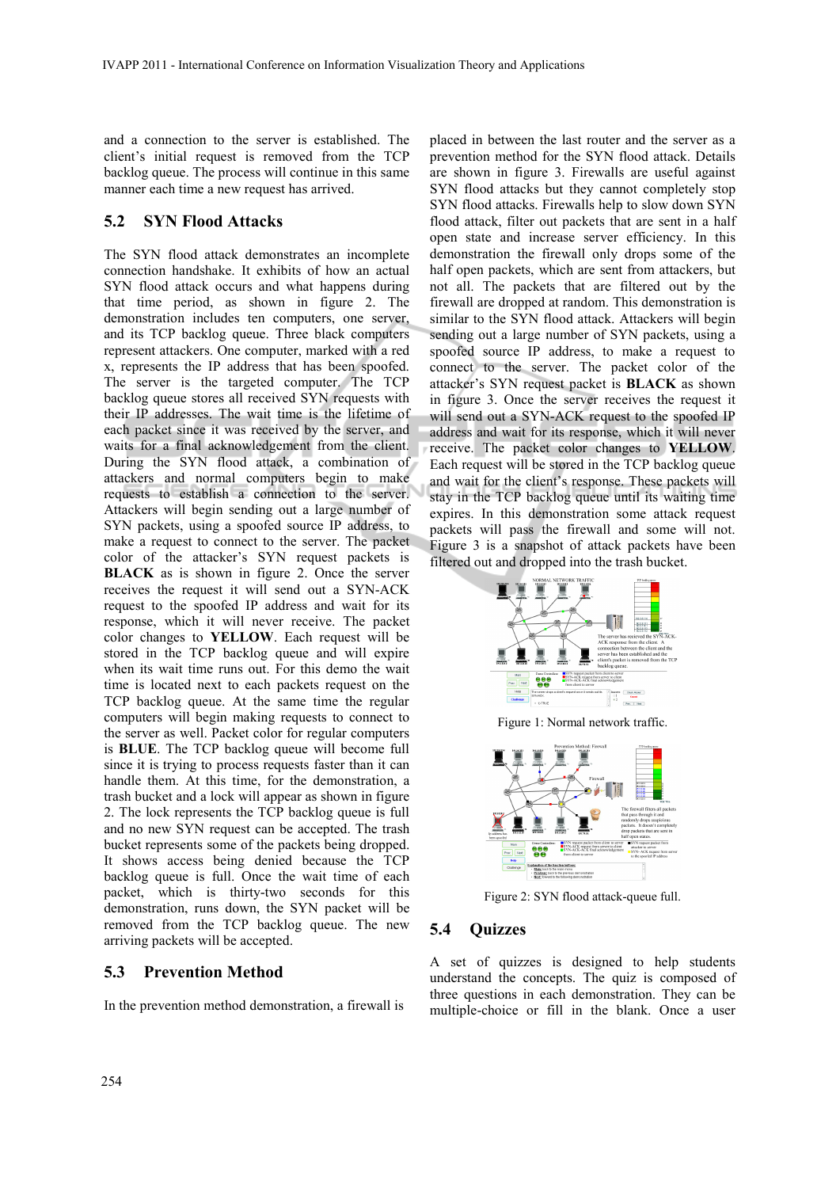and a connection to the server is established. The client's initial request is removed from the TCP backlog queue. The process will continue in this same manner each time a new request has arrived.

#### **5.2 SYN Flood Attacks**

The SYN flood attack demonstrates an incomplete connection handshake. It exhibits of how an actual SYN flood attack occurs and what happens during that time period, as shown in figure 2. The demonstration includes ten computers, one server, and its TCP backlog queue. Three black computers represent attackers. One computer, marked with a red x, represents the IP address that has been spoofed. The server is the targeted computer. The TCP backlog queue stores all received SYN requests with their IP addresses. The wait time is the lifetime of each packet since it was received by the server, and waits for a final acknowledgement from the client. During the SYN flood attack, a combination of attackers and normal computers begin to make requests to establish a connection to the server. Attackers will begin sending out a large number of SYN packets, using a spoofed source IP address, to make a request to connect to the server. The packet color of the attacker's SYN request packets is **BLACK** as is shown in figure 2. Once the server receives the request it will send out a SYN-ACK request to the spoofed IP address and wait for its response, which it will never receive. The packet color changes to **YELLOW**. Each request will be stored in the TCP backlog queue and will expire when its wait time runs out. For this demo the wait time is located next to each packets request on the TCP backlog queue. At the same time the regular computers will begin making requests to connect to the server as well. Packet color for regular computers is **BLUE**. The TCP backlog queue will become full since it is trying to process requests faster than it can handle them. At this time, for the demonstration, a trash bucket and a lock will appear as shown in figure 2. The lock represents the TCP backlog queue is full and no new SYN request can be accepted. The trash bucket represents some of the packets being dropped. It shows access being denied because the TCP backlog queue is full. Once the wait time of each packet, which is thirty-two seconds for this demonstration, runs down, the SYN packet will be removed from the TCP backlog queue. The new arriving packets will be accepted.

#### **5.3 Prevention Method**

In the prevention method demonstration, a firewall is

placed in between the last router and the server as a prevention method for the SYN flood attack. Details are shown in figure 3. Firewalls are useful against SYN flood attacks but they cannot completely stop SYN flood attacks. Firewalls help to slow down SYN flood attack, filter out packets that are sent in a half open state and increase server efficiency. In this demonstration the firewall only drops some of the half open packets, which are sent from attackers, but not all. The packets that are filtered out by the firewall are dropped at random. This demonstration is similar to the SYN flood attack. Attackers will begin sending out a large number of SYN packets, using a spoofed source IP address, to make a request to connect to the server. The packet color of the attacker's SYN request packet is **BLACK** as shown in figure 3. Once the server receives the request it will send out a SYN-ACK request to the spoofed IP address and wait for its response, which it will never receive. The packet color changes to **YELLOW**. Each request will be stored in the TCP backlog queue and wait for the client's response. These packets will stay in the TCP backlog queue until its waiting time expires. In this demonstration some attack request packets will pass the firewall and some will not. Figure 3 is a snapshot of attack packets have been filtered out and dropped into the trash bucket.





Figure 2: SYN flood attack-queue full.

#### **5.4 Quizzes**

A set of quizzes is designed to help students understand the concepts. The quiz is composed of three questions in each demonstration. They can be multiple-choice or fill in the blank. Once a user